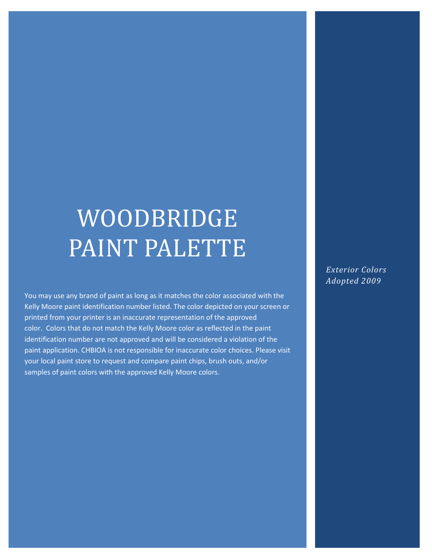# WOODBRIDGE PAINT PALETTE

You may use any brand of paint as long as it matches the color associated with the Kelly Moore paint identification number listed. The color depicted on your screen or printed from your printer is an inaccurate representation of the approved color. Colors that do not match the Kelly Moore color as reflected in the paint identification number are not approved and will be considered a violation of the paint application. CHBIOA is not responsible for inaccurate color choices. Please visit your local paint store to request and compare paint chips, brush outs, and/or samples of paint colors with the approved Kelly Moore colors.

*Exterior Colors Adopted 2009*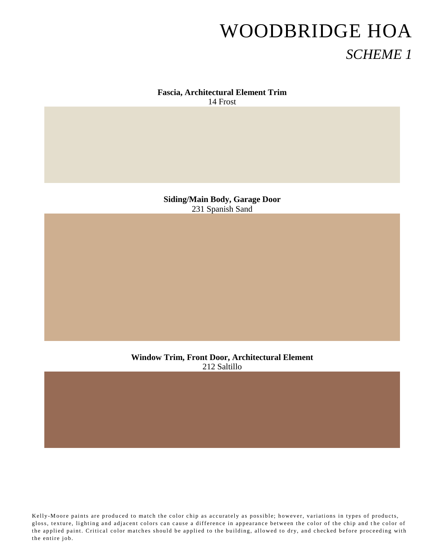#### **Fascia, Architectural Element Trim** 14 Frost

**Siding/Main Body, Garage Door** 231 Spanish Sand

**Window Trim, Front Door, Architectural Element** 212 Saltillo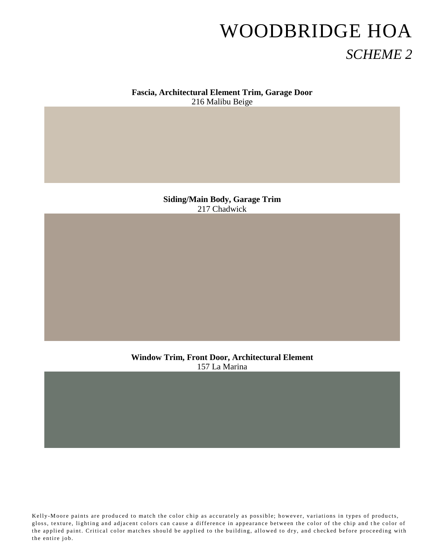#### **Fascia, Architectural Element Trim, Garage Door** 216 Malibu Beige

**Siding/Main Body, Garage Trim** 217 Chadwick

**Window Trim, Front Door, Architectural Element** 157 La Marina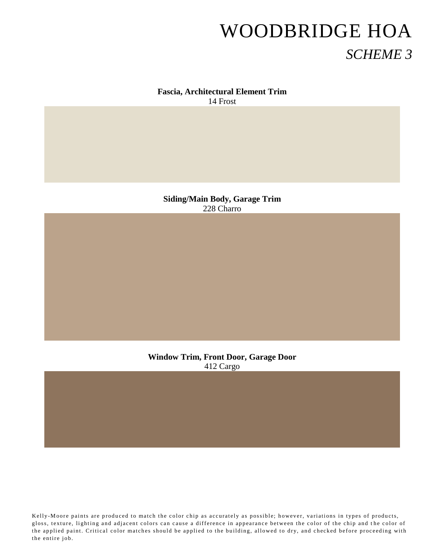#### **Fascia, Architectural Element Trim** 14 Frost

**Siding/Main Body, Garage Trim** 228 Charro

**Window Trim, Front Door, Garage Door** 412 Cargo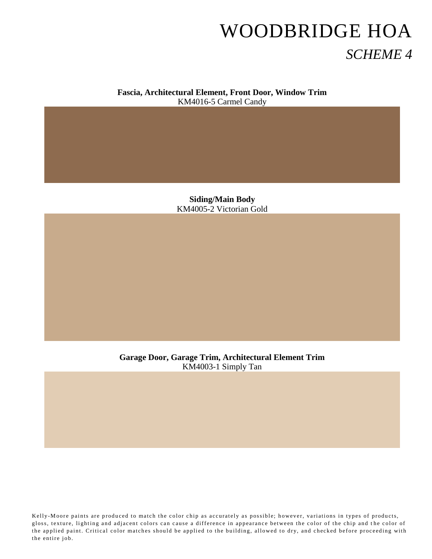**Fascia, Architectural Element, Front Door, Window Trim** KM4016-5 Carmel Candy

> **Siding/Main Body** KM4005-2 Victorian Gold

**Garage Door, Garage Trim, Architectural Element Trim** KM4003-1 Simply Tan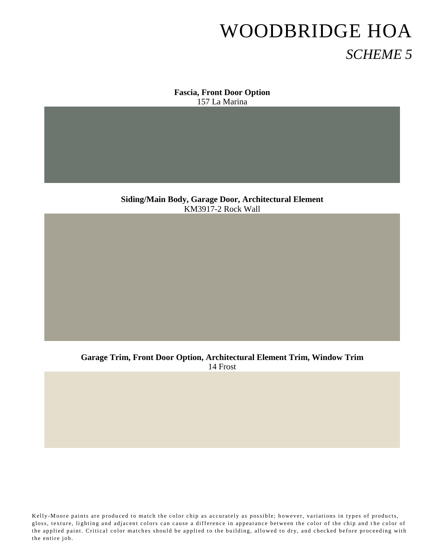**Fascia, Front Door Option** 157 La Marina

**Siding/Main Body, Garage Door, Architectural Element** KM3917-2 Rock Wall

**Garage Trim, Front Door Option, Architectural Element Trim, Window Trim** 14 Frost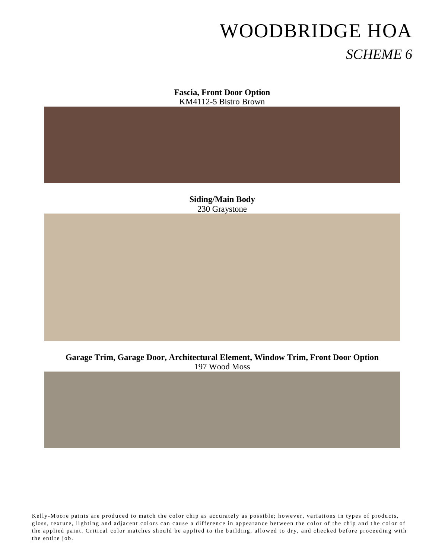**Fascia, Front Door Option** KM4112-5 Bistro Brown

> **Siding/Main Body** 230 Graystone

**Garage Trim, Garage Door, Architectural Element, Window Trim, Front Door Option** 197 Wood Moss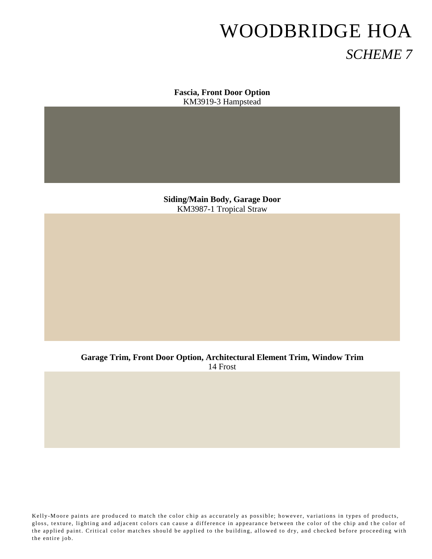**Fascia, Front Door Option** KM3919-3 Hampstead

**Siding/Main Body, Garage Door** KM3987-1 Tropical Straw

**Garage Trim, Front Door Option, Architectural Element Trim, Window Trim** 14 Frost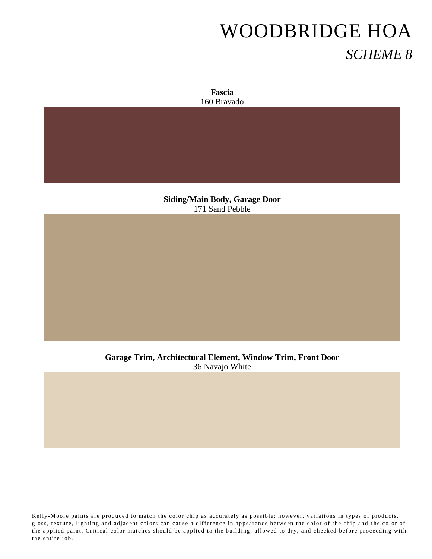

**Siding/Main Body, Garage Door** 171 Sand Pebble

**Garage Trim, Architectural Element, Window Trim, Front Door** 36 Navajo White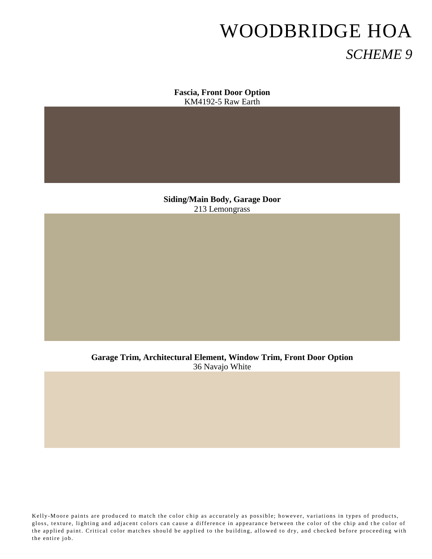**Fascia, Front Door Option** KM4192-5 Raw Earth

**Siding/Main Body, Garage Door** 213 Lemongrass

**Garage Trim, Architectural Element, Window Trim, Front Door Option** 36 Navajo White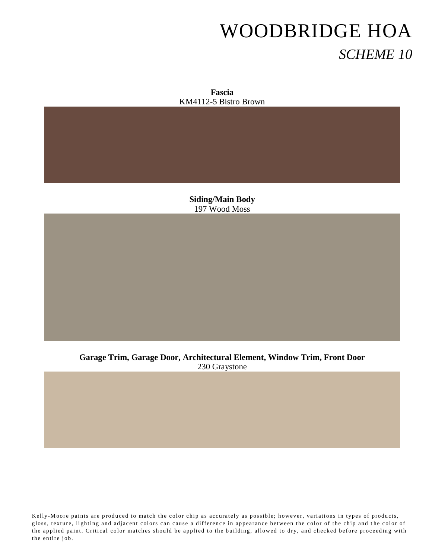**Fascia** KM4112-5 Bistro Brown

**Siding/Main Body** 197 Wood Moss

**Garage Trim, Garage Door, Architectural Element, Window Trim, Front Door** 230 Graystone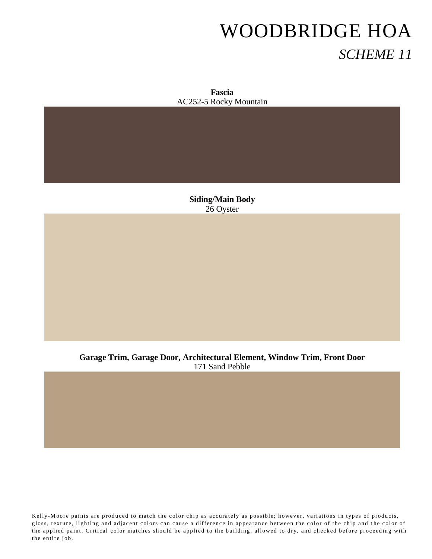**Fascia** AC252-5 Rocky Mountain

> **Siding/Main Body** 26 Oyster

**Garage Trim, Garage Door, Architectural Element, Window Trim, Front Door** 171 Sand Pebble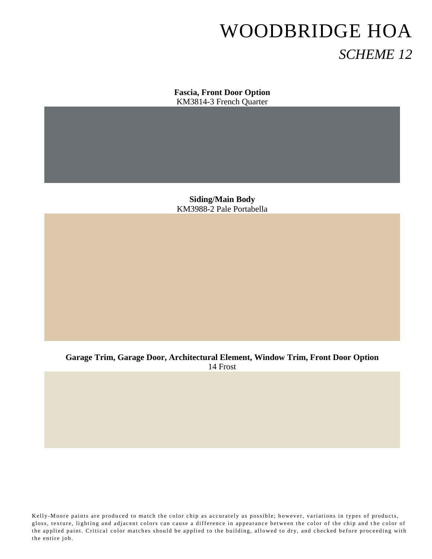**Fascia, Front Door Option** KM3814-3 French Quarter

**Siding/Main Body** KM3988-2 Pale Portabella

**Garage Trim, Garage Door, Architectural Element, Window Trim, Front Door Option** 14 Frost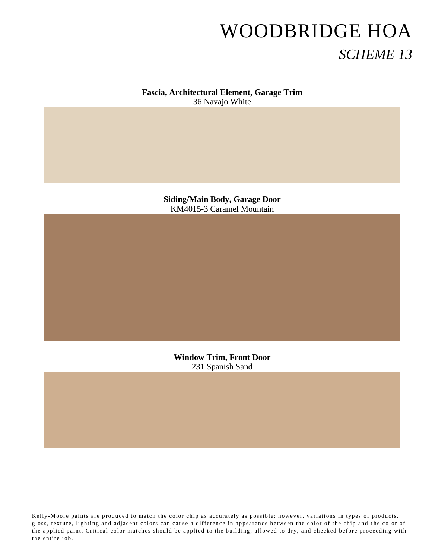**Fascia, Architectural Element, Garage Trim** 36 Navajo White

> **Siding/Main Body, Garage Door** KM4015-3 Caramel Mountain

**Window Trim, Front Door** 231 Spanish Sand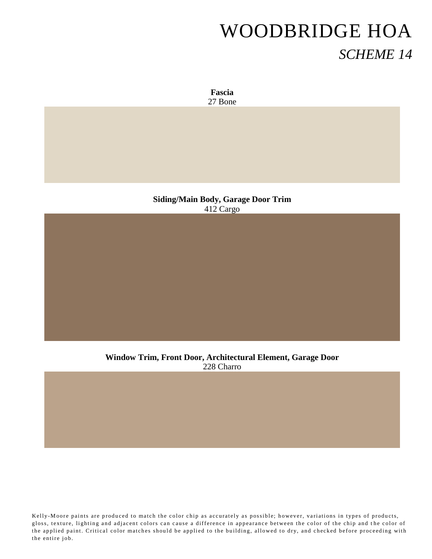**Fascia** 27 Bone

**Siding/Main Body, Garage Door Trim** 412 Cargo

**Window Trim, Front Door, Architectural Element, Garage Door** 228 Charro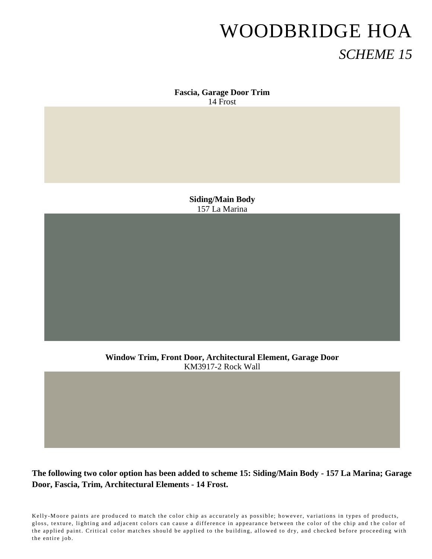**Fascia, Garage Door Trim** 14 Frost

> **Siding/Main Body** 157 La Marina

**Window Trim, Front Door, Architectural Element, Garage Door** KM3917-2 Rock Wall

#### **The following two color option has been added to scheme 15: Siding/Main Body - 157 La Marina; Garage Door, Fascia, Trim, Architectural Elements - 14 Frost.**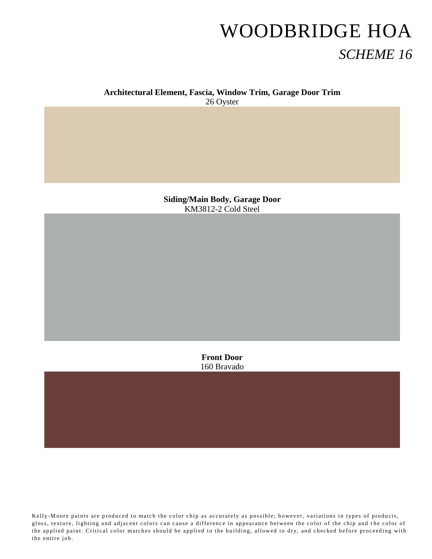#### **Architectural Element, Fascia, Window Trim, Garage Door Trim**

26 Oyster

**Siding/Main Body, Garage Door** KM3812-2 Cold Steel

> **Front Door** 160 Bravado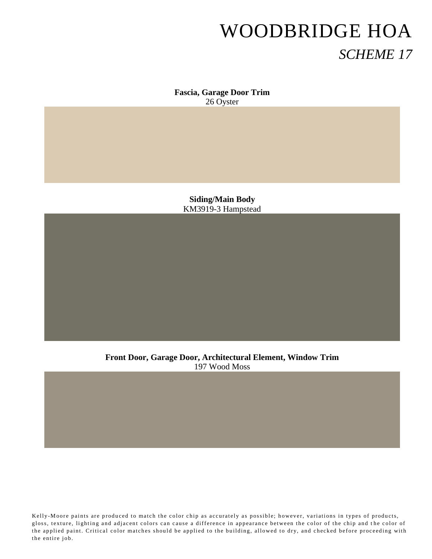**Fascia, Garage Door Trim** 26 Oyster

**Siding/Main Body** KM3919-3 Hampstead

**Front Door, Garage Door, Architectural Element, Window Trim** 197 Wood Moss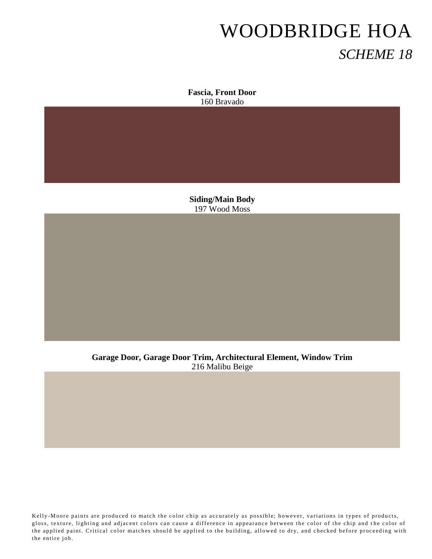**Fascia, Front Door** 160 Bravado

**Siding/Main Body** 197 Wood Moss

**Garage Door, Garage Door Trim, Architectural Element, Window Trim** 216 Malibu Beige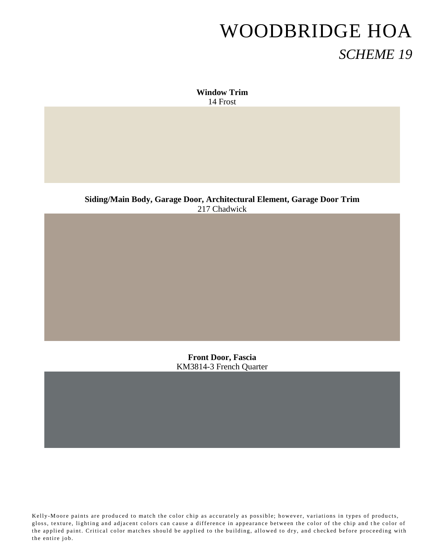**Window Trim** 14 Frost

**Siding/Main Body, Garage Door, Architectural Element, Garage Door Trim** 217 Chadwick

> **Front Door, Fascia** KM3814-3 French Quarter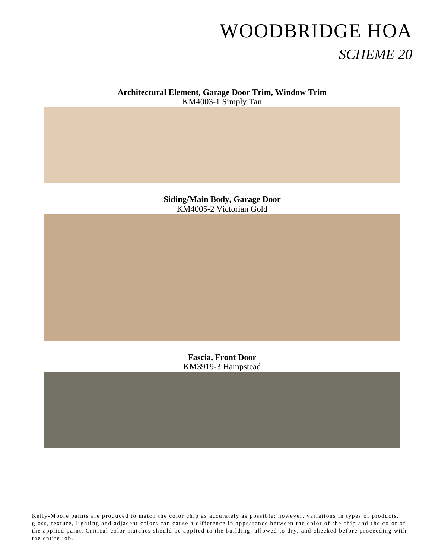#### **Architectural Element, Garage Door Trim, Window Trim** KM4003-1 Simply Tan

**Siding/Main Body, Garage Door** KM4005-2 Victorian Gold

> **Fascia, Front Door** KM3919-3 Hampstead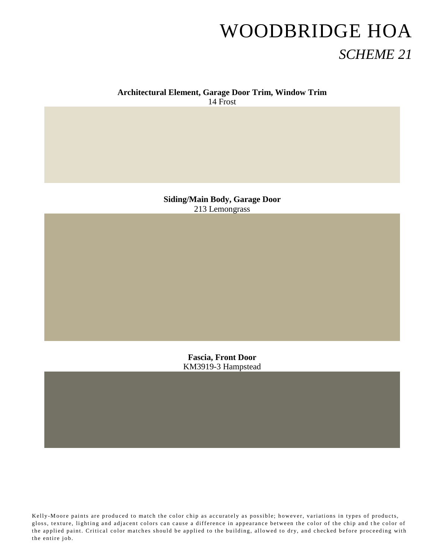#### **Architectural Element, Garage Door Trim, Window Trim**

14 Frost

**Siding/Main Body, Garage Door** 213 Lemongrass

> **Fascia, Front Door** KM3919-3 Hampstead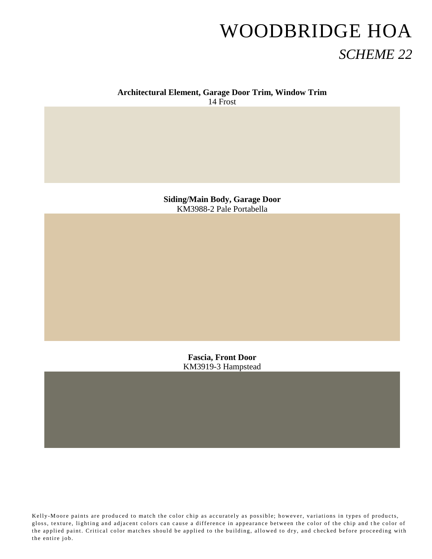#### **Architectural Element, Garage Door Trim, Window Trim**

14 Frost

**Siding/Main Body, Garage Door** KM3988-2 Pale Portabella

> **Fascia, Front Door** KM3919-3 Hampstead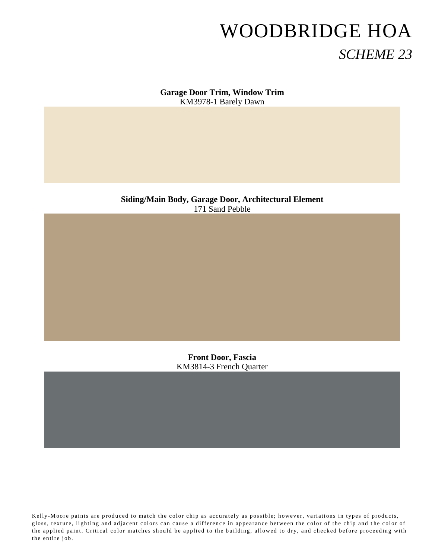**Garage Door Trim, Window Trim** KM3978-1 Barely Dawn

**Siding/Main Body, Garage Door, Architectural Element** 171 Sand Pebble

> **Front Door, Fascia** KM3814-3 French Quarter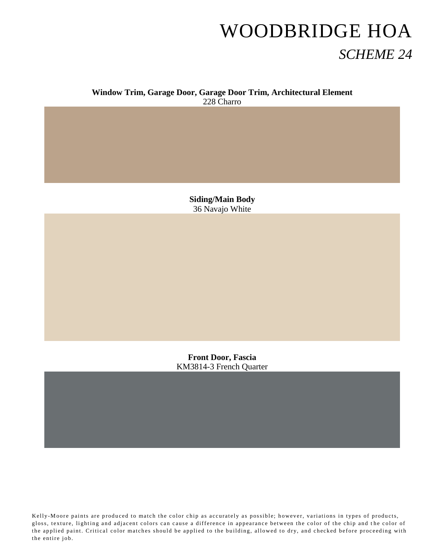#### **Window Trim, Garage Door, Garage Door Trim, Architectural Element** 228 Charro

**Siding/Main Body** 36 Navajo White

**Front Door, Fascia** KM3814-3 French Quarter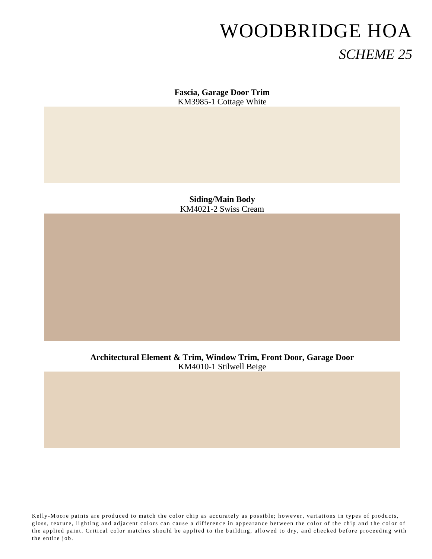**Fascia, Garage Door Trim** KM3985-1 Cottage White

**Siding/Main Body** KM4021-2 Swiss Cream

**Architectural Element & Trim, Window Trim, Front Door, Garage Door** KM4010-1 Stilwell Beige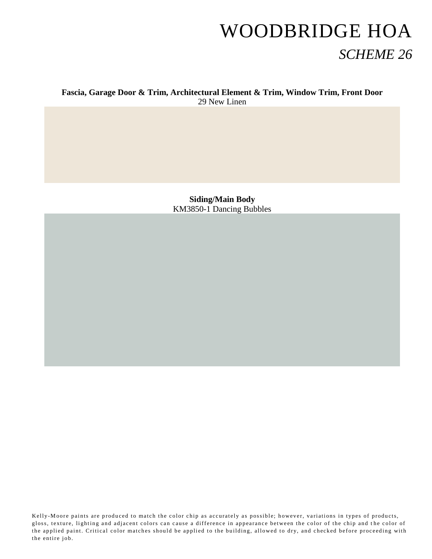#### **Fascia, Garage Door & Trim, Architectural Element & Trim, Window Trim, Front Door** 29 New Linen

**Siding/Main Body** KM3850-1 Dancing Bubbles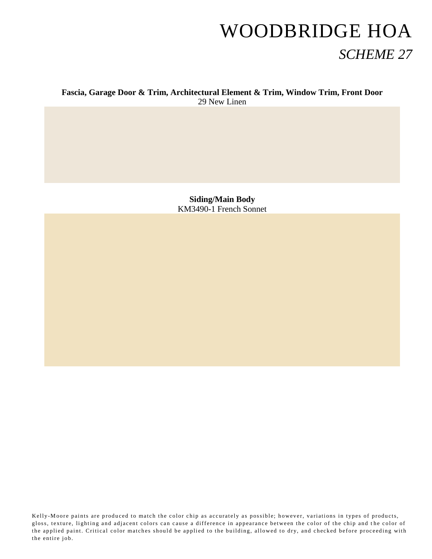#### **Fascia, Garage Door & Trim, Architectural Element & Trim, Window Trim, Front Door** 29 New Linen

**Siding/Main Body** KM3490-1 French Sonnet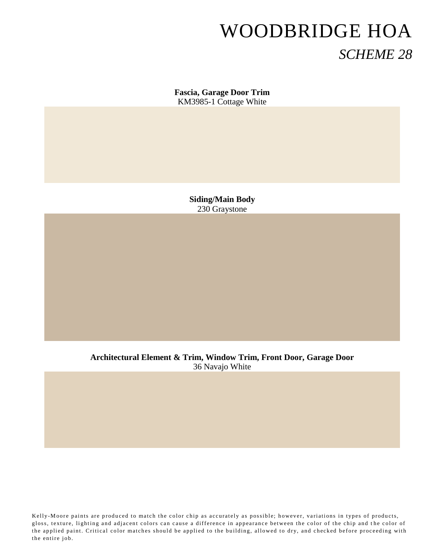**Fascia, Garage Door Trim** KM3985-1 Cottage White

> **Siding/Main Body** 230 Graystone

**Architectural Element & Trim, Window Trim, Front Door, Garage Door** 36 Navajo White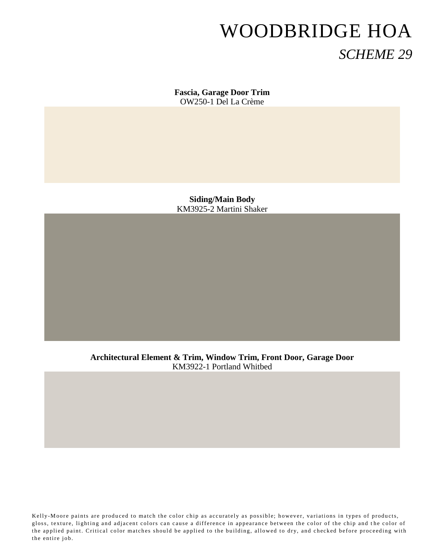**Fascia, Garage Door Trim** OW250-1 Del La Crème

**Siding/Main Body** KM3925-2 Martini Shaker

**Architectural Element & Trim, Window Trim, Front Door, Garage Door** KM3922-1 Portland Whitbed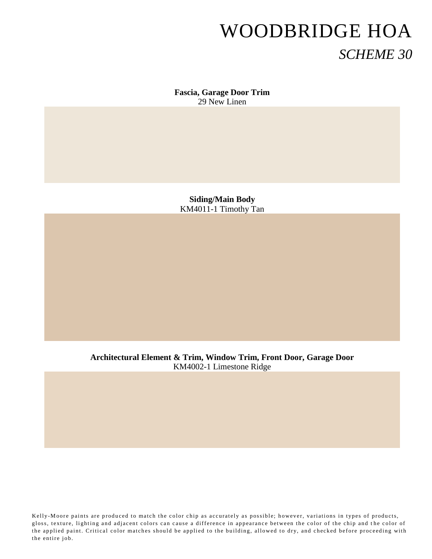**Fascia, Garage Door Trim** 29 New Linen

**Siding/Main Body** KM4011-1 Timothy Tan

**Architectural Element & Trim, Window Trim, Front Door, Garage Door** KM4002-1 Limestone Ridge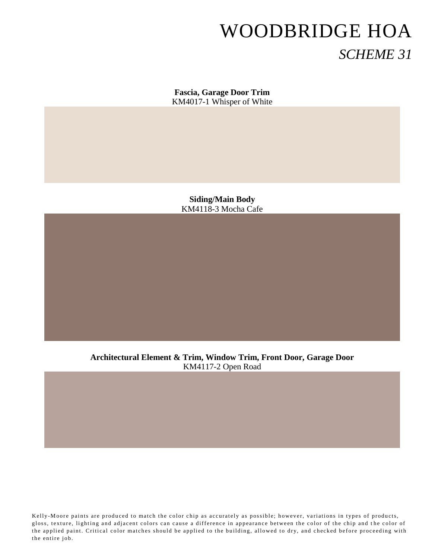**Fascia, Garage Door Trim** KM4017-1 Whisper of White

**Siding/Main Body** KM4118-3 Mocha Cafe

**Architectural Element & Trim, Window Trim, Front Door, Garage Door** KM4117-2 Open Road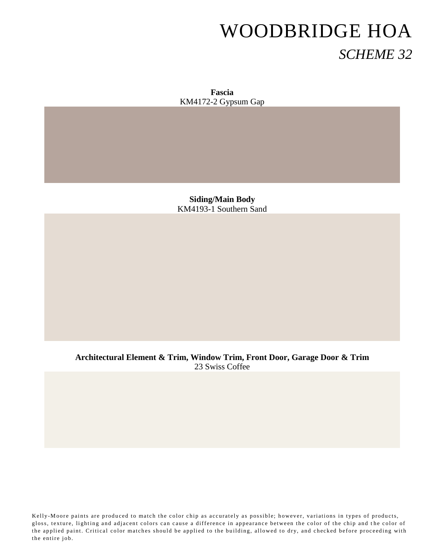**Fascia** KM4172-2 Gypsum Gap

**Siding/Main Body** KM4193-1 Southern Sand

**Architectural Element & Trim, Window Trim, Front Door, Garage Door & Trim** 23 Swiss Coffee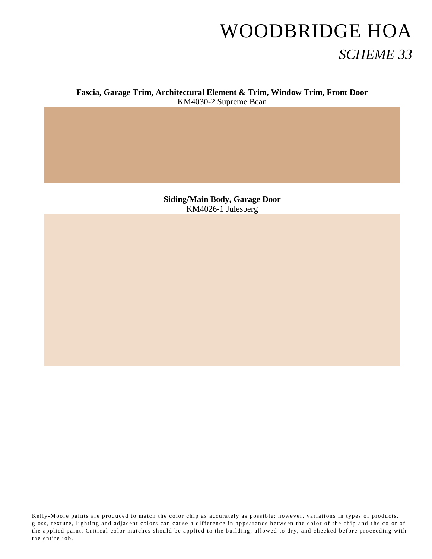**Fascia, Garage Trim, Architectural Element & Trim, Window Trim, Front Door** KM4030-2 Supreme Bean

> **Siding/Main Body, Garage Door** KM4026-1 Julesberg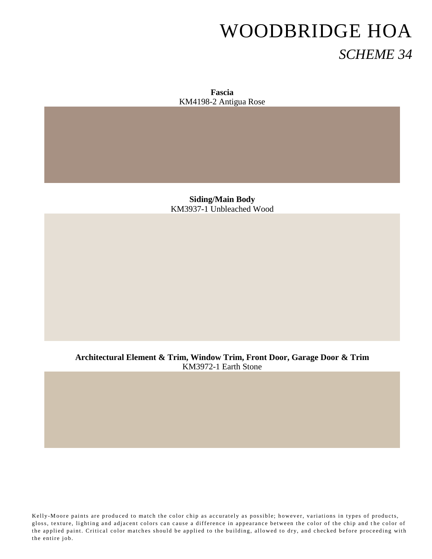**Fascia** KM4198-2 Antigua Rose

**Siding/Main Body** KM3937-1 Unbleached Wood

**Architectural Element & Trim, Window Trim, Front Door, Garage Door & Trim** KM3972-1 Earth Stone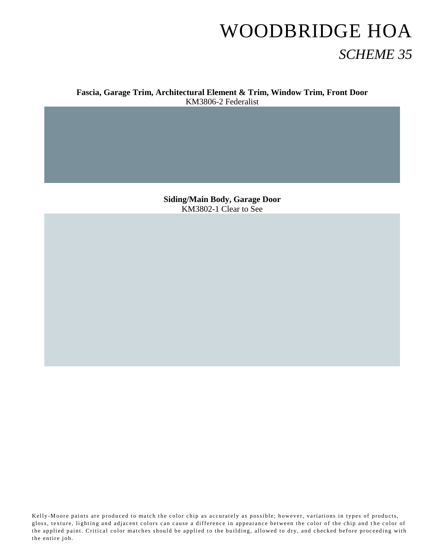**Fascia, Garage Trim, Architectural Element & Trim, Window Trim, Front Door** KM3806-2 Federalist

> **Siding/Main Body, Garage Door** KM3802-1 Clear to See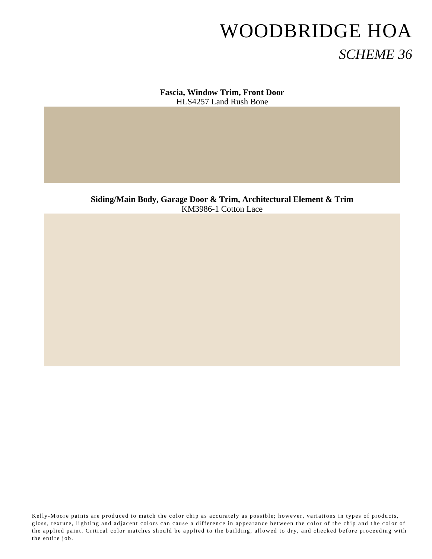**Fascia, Window Trim, Front Door** HLS4257 Land Rush Bone

**Siding/Main Body, Garage Door & Trim, Architectural Element & Trim** KM3986-1 Cotton Lace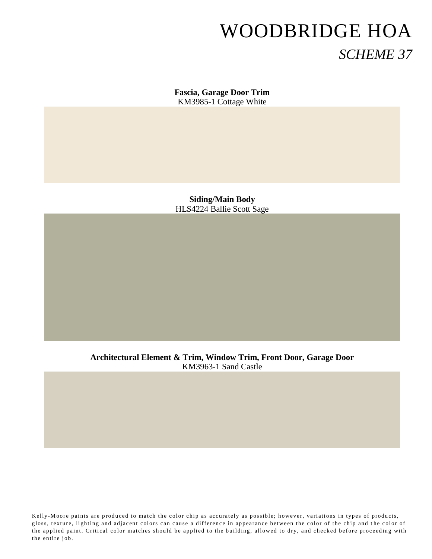**Fascia, Garage Door Trim** KM3985-1 Cottage White

**Siding/Main Body** HLS4224 Ballie Scott Sage

**Architectural Element & Trim, Window Trim, Front Door, Garage Door** KM3963-1 Sand Castle